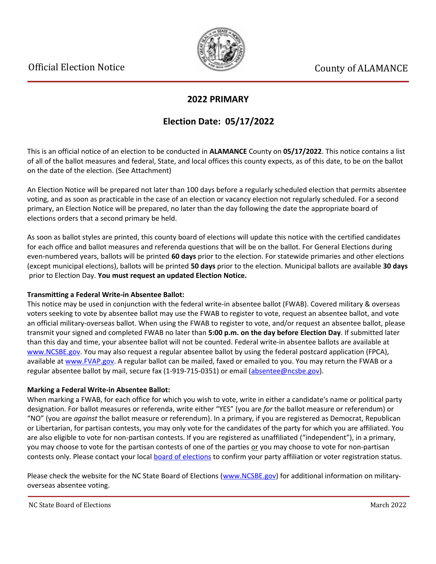

## **2022 PRIMARY**

# **Election Date: 05/17/2022**

This is an official notice of an election to be conducted in **ALAMANCE** County on **05/17/2022**. This notice contains a list of all of the ballot measures and federal, State, and local offices this county expects, as of this date, to be on the ballot on the date of the election. (See Attachment)

An Election Notice will be prepared not later than 100 days before a regularly scheduled election that permits absentee voting, and as soon as practicable in the case of an election or vacancy election not regularly scheduled. For a second primary, an Election Notice will be prepared, no later than the day following the date the appropriate board of elections orders that a second primary be held.

As soon as ballot styles are printed, this county board of elections will update this notice with the certified candidates for each office and ballot measures and referenda questions that will be on the ballot. For General Elections during even-numbered years, ballots will be printed **60 days** prior to the election. For statewide primaries and other elections (except municipal elections), ballots will be printed **50 days** prior to the election. Municipal ballots are available **30 days** prior to Election Day. **You must request an updated Election Notice.**

## **Transmitting a Federal Write-in Absentee Ballot:**

This notice may be used in conjunction with the federal write-in absentee ballot (FWAB). Covered military & overseas voters seeking to vote by absentee ballot may use the FWAB to register to vote, request an absentee ballot, and vote an official military-overseas ballot. When using the FWAB to register to vote, and/or request an absentee ballot, please transmit your signed and completed FWAB no later than **5:00 p.m. on the day before Election Day**. If submitted later than this day and time, your absentee ballot will not be counted. Federal write-in absentee ballots are available at [www.NCSBE.gov.](https://www.ncsbe.gov/) You may also request a regular absentee ballot by using the federal postcard application (FPCA), available at [www.FVAP.gov](https://www.fvap.gov/). A regular ballot can be mailed, faxed or emailed to you. You may return the FWAB or a regular absentee ballot by mail, secure fax (1-919-715-0351) or email (absentee@ncsbe.gov).

## **Marking a Federal Write-in Absentee Ballot:**

When marking a FWAB, for each office for which you wish to vote, write in either a candidate's name or political party designation. For ballot measures or referenda, write either "YES" (you are *for* the ballot measure or referendum) or "NO" (you are *against* the ballot measure or referendum). In a primary, if you are registered as Democrat, Republican or Libertarian, for partisan contests, you may only vote for the candidates of the party for which you are affiliated. You are also eligible to vote for non-partisan contests. If you are registered as unaffiliated ("independent"), in a primary, you may choose to vote for the partisan contests of one of the parties or you may choose to vote for non-partisan contests only. Please contact your local [board of elections](https://vt.ncsbe.gov/BOEInfo/) to confirm your party affiliation or voter registration status.

Please check the website for the NC State Board of Elections ([www.NCSBE.gov\)](https://www.ncsbe.gov/) for additional information on militaryoverseas absentee voting.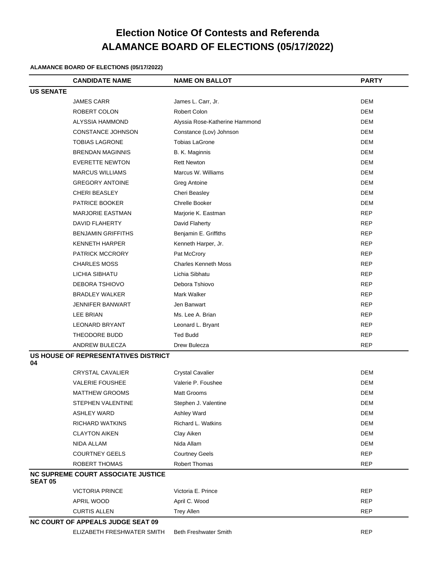# **Election Notice Of Contests and Referenda ALAMANCE BOARD OF ELECTIONS (05/17/2022)**

#### **ALAMANCE BOARD OF ELECTIONS (05/17/2022)**

|                                            | <b>CANDIDATE NAME</b>                     | <b>NAME ON BALLOT</b>          | <b>PARTY</b> |
|--------------------------------------------|-------------------------------------------|--------------------------------|--------------|
| <b>US SENATE</b>                           |                                           |                                |              |
|                                            | <b>JAMES CARR</b>                         | James L. Carr, Jr.             | <b>DEM</b>   |
|                                            | ROBERT COLON                              | <b>Robert Colon</b>            | <b>DEM</b>   |
|                                            | ALYSSIA HAMMOND                           | Alyssia Rose-Katherine Hammond | <b>DEM</b>   |
|                                            | CONSTANCE JOHNSON                         | Constance (Lov) Johnson        | <b>DEM</b>   |
|                                            | <b>TOBIAS LAGRONE</b>                     | <b>Tobias LaGrone</b>          | <b>DEM</b>   |
|                                            | <b>BRENDAN MAGINNIS</b>                   | B. K. Maginnis                 | <b>DEM</b>   |
|                                            | <b>EVERETTE NEWTON</b>                    | <b>Rett Newton</b>             | <b>DEM</b>   |
|                                            | <b>MARCUS WILLIAMS</b>                    | Marcus W. Williams             | <b>DEM</b>   |
|                                            | <b>GREGORY ANTOINE</b>                    | Greg Antoine                   | <b>DEM</b>   |
|                                            | <b>CHERI BEASLEY</b>                      | Cheri Beasley                  | DEM          |
|                                            | PATRICE BOOKER                            | Chrelle Booker                 | <b>DEM</b>   |
|                                            | <b>MARJORIE EASTMAN</b>                   | Marjorie K. Eastman            | <b>REP</b>   |
|                                            | <b>DAVID FLAHERTY</b>                     | David Flaherty                 | <b>REP</b>   |
|                                            | <b>BENJAMIN GRIFFITHS</b>                 | Benjamin E. Griffiths          | <b>REP</b>   |
|                                            | <b>KENNETH HARPER</b>                     | Kenneth Harper, Jr.            | REP          |
|                                            | <b>PATRICK MCCRORY</b>                    | Pat McCrory                    | <b>REP</b>   |
|                                            | <b>CHARLES MOSS</b>                       | <b>Charles Kenneth Moss</b>    | <b>REP</b>   |
|                                            | LICHIA SIBHATU                            | Lichia Sibhatu                 | <b>REP</b>   |
|                                            | DEBORA TSHIOVO                            | Debora Tshiovo                 | <b>REP</b>   |
|                                            | <b>BRADLEY WALKER</b>                     | Mark Walker                    | <b>REP</b>   |
|                                            | <b>JENNIFER BANWART</b>                   | Jen Banwart                    | <b>REP</b>   |
|                                            | LEE BRIAN                                 | Ms. Lee A. Brian               | <b>REP</b>   |
|                                            | <b>LEONARD BRYANT</b>                     | Leonard L. Bryant              | <b>REP</b>   |
|                                            | THEODORE BUDD                             | <b>Ted Budd</b>                | <b>REP</b>   |
|                                            | ANDREW BULECZA                            | Drew Bulecza                   | <b>REP</b>   |
| US HOUSE OF REPRESENTATIVES DISTRICT<br>04 |                                           |                                |              |
|                                            | <b>CRYSTAL CAVALIER</b>                   | <b>Crystal Cavalier</b>        | <b>DEM</b>   |
|                                            | <b>VALERIE FOUSHEE</b>                    | Valerie P. Foushee             | DEM          |
|                                            | MATTHEW GROOMS                            | Matt Grooms                    | DEM          |
|                                            | STEPHEN VALENTINE                         | Stephen J. Valentine           | <b>DEM</b>   |
|                                            | <b>ASHLEY WARD</b>                        | Ashley Ward                    | <b>DEM</b>   |
|                                            | RICHARD WATKINS                           | Richard L. Watkins             | <b>DEM</b>   |
|                                            | <b>CLAYTON AIKEN</b>                      | Clay Aiken                     | <b>DEM</b>   |
|                                            | NIDA ALLAM                                | Nida Allam                     | <b>DEM</b>   |
|                                            | <b>COURTNEY GEELS</b>                     | <b>Courtney Geels</b>          | <b>REP</b>   |
|                                            | ROBERT THOMAS                             | <b>Robert Thomas</b>           | <b>REP</b>   |
| <b>SEAT 05</b>                             | <b>NC SUPREME COURT ASSOCIATE JUSTICE</b> |                                |              |
|                                            | <b>VICTORIA PRINCE</b>                    | Victoria E. Prince             | REP          |
|                                            | APRIL WOOD                                | April C. Wood                  | <b>REP</b>   |
|                                            | <b>CURTIS ALLEN</b>                       | <b>Trey Allen</b>              | REP          |
|                                            | <b>NC COURT OF APPEALS JUDGE SEAT 09</b>  |                                |              |

ELIZABETH FRESHWATER SMITH Beth Freshwater Smith REP